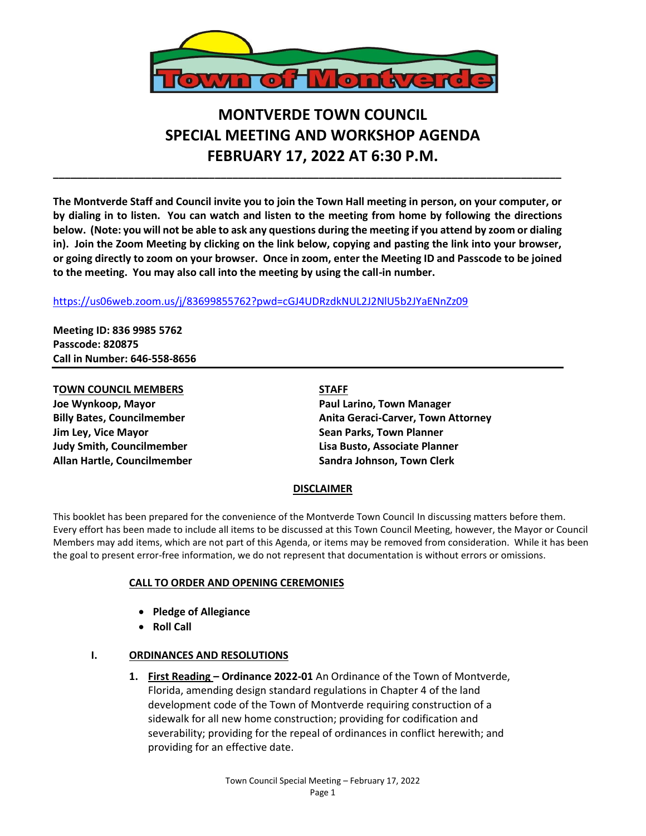

# **MONTVERDE TOWN COUNCIL SPECIAL MEETING AND WORKSHOP AGENDA FEBRUARY 17, 2022 AT 6:30 P.M.**

**The Montverde Staff and Council invite you to join the Town Hall meeting in person, on your computer, or by dialing in to listen. You can watch and listen to the meeting from home by following the directions below. (Note: you will not be able to ask any questions during the meeting if you attend by zoom or dialing in). Join the Zoom Meeting by clicking on the link below, copying and pasting the link into your browser, or going directly to zoom on your browser. Once in zoom, enter the Meeting ID and Passcode to be joined to the meeting. You may also call into the meeting by using the call-in number.** 

**\_\_\_\_\_\_\_\_\_\_\_\_\_\_\_\_\_\_\_\_\_\_\_\_\_\_\_\_\_\_\_\_\_\_\_\_\_\_\_\_\_\_\_\_\_\_\_\_\_\_\_\_\_\_\_\_\_\_\_\_\_\_\_\_\_\_\_\_\_\_\_\_\_\_\_\_\_\_\_\_\_\_\_\_\_\_\_\_**

### <https://us06web.zoom.us/j/83699855762?pwd=cGJ4UDRzdkNUL2J2NlU5b2JYaENnZz09>

**Meeting ID: 836 9985 5762 Passcode: 820875 Call in Number: 646-558-8656**

## **TOWN COUNCIL MEMBERS STAFF**

**Jim Ley, Vice Mayor Sean Parks, Town Planner Allan Hartle, Councilmember Sandra Johnson, Town Clerk**

**Joe Wynkoop, Mayor Paul Larino, Town Manager Billy Bates, Councilmember Anita Geraci-Carver, Town Attorney Judy Smith, Councilmember Lisa Busto, Associate Planner**

#### **DISCLAIMER**

This booklet has been prepared for the convenience of the Montverde Town Council In discussing matters before them. Every effort has been made to include all items to be discussed at this Town Council Meeting, however, the Mayor or Council Members may add items, which are not part of this Agenda, or items may be removed from consideration. While it has been the goal to present error-free information, we do not represent that documentation is without errors or omissions.

#### **CALL TO ORDER AND OPENING CEREMONIES**

- **Pledge of Allegiance**
- **Roll Call**

#### **I. ORDINANCES AND RESOLUTIONS**

**1. First Reading – Ordinance 2022-01** An Ordinance of the Town of Montverde, Florida, amending design standard regulations in Chapter 4 of the land development code of the Town of Montverde requiring construction of a sidewalk for all new home construction; providing for codification and severability; providing for the repeal of ordinances in conflict herewith; and providing for an effective date.